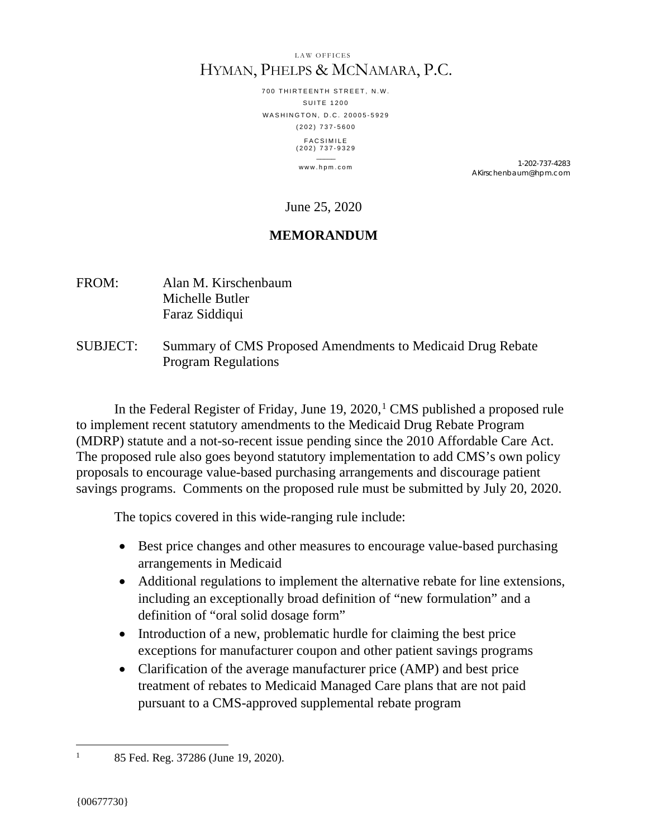#### LAW OFFICES HYMAN, PHELPS & MCNAMARA, P.C.

700 THIRTEENTH STREET, N.W. SUITE 1200 WASHINGTON, D.C. 20005-5929 (202) 737 - 5600 FACSIMILE (202) 737 - 9329  $\overline{\phantom{a}}$ 

www.hpm.com 1-202-737-4283 AKirschenbaum@hpm.com

June 25, 2020

# **MEMORANDUM**

- FROM: Alan M. Kirschenbaum Michelle Butler Faraz Siddiqui
- SUBJECT: Summary of CMS Proposed Amendments to Medicaid Drug Rebate Program Regulations

In the Federal Register of Friday, June  $19, 2020$  $19, 2020$ , CMS published a proposed rule to implement recent statutory amendments to the Medicaid Drug Rebate Program (MDRP) statute and a not-so-recent issue pending since the 2010 Affordable Care Act. The proposed rule also goes beyond statutory implementation to add CMS's own policy proposals to encourage value-based purchasing arrangements and discourage patient savings programs. Comments on the proposed rule must be submitted by July 20, 2020.

The topics covered in this wide-ranging rule include:

- Best price changes and other measures to encourage value-based purchasing arrangements in Medicaid
- Additional regulations to implement the alternative rebate for line extensions, including an exceptionally broad definition of "new formulation" and a definition of "oral solid dosage form"
- Introduction of a new, problematic hurdle for claiming the best price exceptions for manufacturer coupon and other patient savings programs
- Clarification of the average manufacturer price (AMP) and best price treatment of rebates to Medicaid Managed Care plans that are not paid pursuant to a CMS-approved supplemental rebate program

<span id="page-0-0"></span><sup>&</sup>lt;sup>1</sup> 85 Fed. Reg. 37286 (June 19, 2020).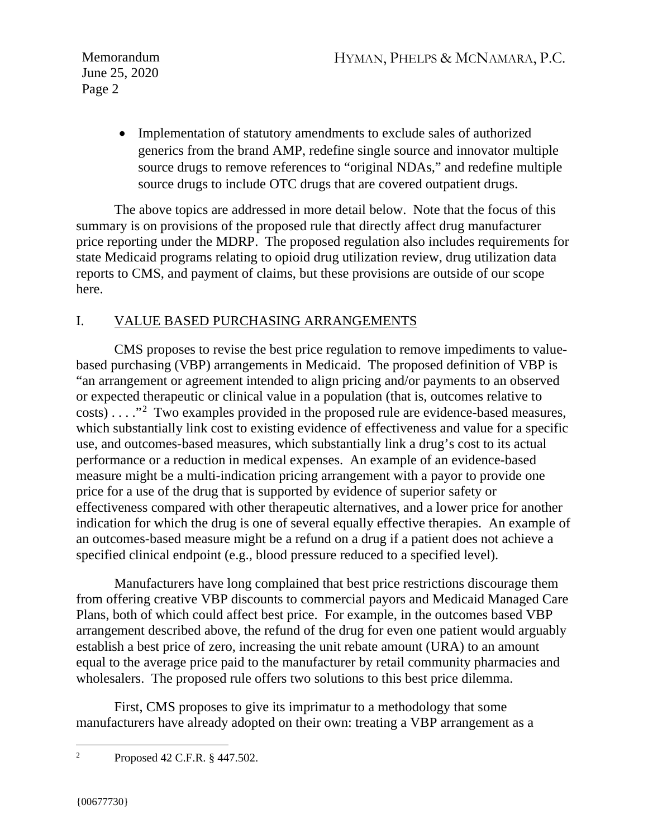> • Implementation of statutory amendments to exclude sales of authorized generics from the brand AMP, redefine single source and innovator multiple source drugs to remove references to "original NDAs," and redefine multiple source drugs to include OTC drugs that are covered outpatient drugs.

The above topics are addressed in more detail below. Note that the focus of this summary is on provisions of the proposed rule that directly affect drug manufacturer price reporting under the MDRP. The proposed regulation also includes requirements for state Medicaid programs relating to opioid drug utilization review, drug utilization data reports to CMS, and payment of claims, but these provisions are outside of our scope here.

# I. VALUE BASED PURCHASING ARRANGEMENTS

CMS proposes to revise the best price regulation to remove impediments to valuebased purchasing (VBP) arrangements in Medicaid. The proposed definition of VBP is "an arrangement or agreement intended to align pricing and/or payments to an observed or expected therapeutic or clinical value in a population (that is, outcomes relative to  $costs) \ldots$ ."<sup>[2](#page-1-0)</sup> Two examples provided in the proposed rule are evidence-based measures, which substantially link cost to existing evidence of effectiveness and value for a specific use, and outcomes-based measures, which substantially link a drug's cost to its actual performance or a reduction in medical expenses. An example of an evidence-based measure might be a multi-indication pricing arrangement with a payor to provide one price for a use of the drug that is supported by evidence of superior safety or effectiveness compared with other therapeutic alternatives, and a lower price for another indication for which the drug is one of several equally effective therapies. An example of an outcomes-based measure might be a refund on a drug if a patient does not achieve a specified clinical endpoint (e.g., blood pressure reduced to a specified level).

Manufacturers have long complained that best price restrictions discourage them from offering creative VBP discounts to commercial payors and Medicaid Managed Care Plans, both of which could affect best price. For example, in the outcomes based VBP arrangement described above, the refund of the drug for even one patient would arguably establish a best price of zero, increasing the unit rebate amount (URA) to an amount equal to the average price paid to the manufacturer by retail community pharmacies and wholesalers. The proposed rule offers two solutions to this best price dilemma.

First, CMS proposes to give its imprimatur to a methodology that some manufacturers have already adopted on their own: treating a VBP arrangement as a

<span id="page-1-0"></span><sup>2</sup> Proposed 42 C.F.R. § 447.502.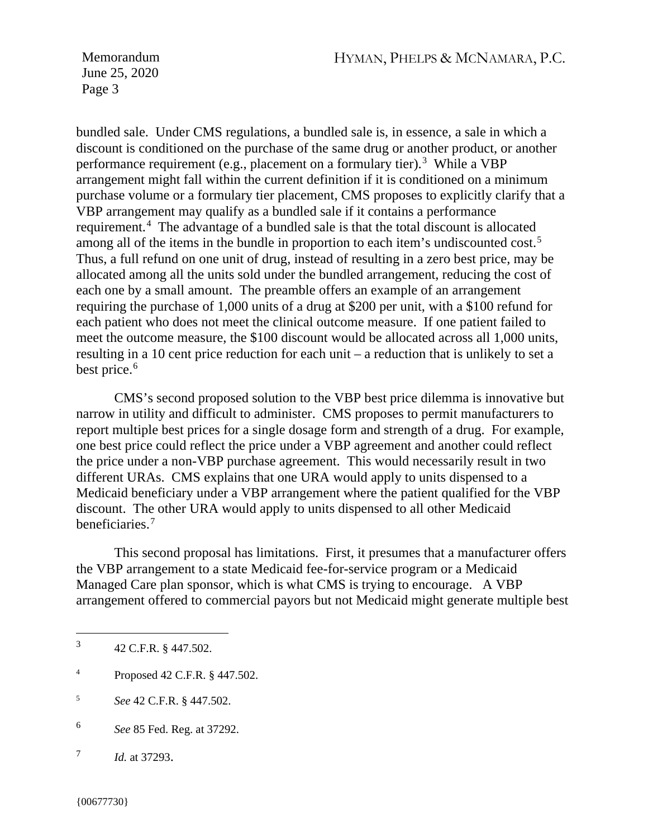bundled sale. Under CMS regulations, a bundled sale is, in essence, a sale in which a discount is conditioned on the purchase of the same drug or another product, or another performance requirement (e.g., placement on a formulary tier).<sup>[3](#page-2-0)</sup> While a VBP arrangement might fall within the current definition if it is conditioned on a minimum purchase volume or a formulary tier placement, CMS proposes to explicitly clarify that a VBP arrangement may qualify as a bundled sale if it contains a performance requirement.<sup>[4](#page-2-1)</sup> The advantage of a bundled sale is that the total discount is allocated among all of the items in the bundle in proportion to each item's undiscounted cost.[5](#page-2-2) Thus, a full refund on one unit of drug, instead of resulting in a zero best price, may be allocated among all the units sold under the bundled arrangement, reducing the cost of each one by a small amount. The preamble offers an example of an arrangement requiring the purchase of 1,000 units of a drug at \$200 per unit, with a \$100 refund for each patient who does not meet the clinical outcome measure. If one patient failed to meet the outcome measure, the \$100 discount would be allocated across all 1,000 units, resulting in a 10 cent price reduction for each unit – a reduction that is unlikely to set a best price.<sup>[6](#page-2-3)</sup>

CMS's second proposed solution to the VBP best price dilemma is innovative but narrow in utility and difficult to administer. CMS proposes to permit manufacturers to report multiple best prices for a single dosage form and strength of a drug. For example, one best price could reflect the price under a VBP agreement and another could reflect the price under a non-VBP purchase agreement. This would necessarily result in two different URAs. CMS explains that one URA would apply to units dispensed to a Medicaid beneficiary under a VBP arrangement where the patient qualified for the VBP discount. The other URA would apply to units dispensed to all other Medicaid beneficiaries.[7](#page-2-4)

This second proposal has limitations. First, it presumes that a manufacturer offers the VBP arrangement to a state Medicaid fee-for-service program or a Medicaid Managed Care plan sponsor, which is what CMS is trying to encourage. A VBP arrangement offered to commercial payors but not Medicaid might generate multiple best

- <span id="page-2-1"></span><sup>4</sup> Proposed 42 C.F.R. § 447.502.
- <span id="page-2-2"></span><sup>5</sup> *See* 42 C.F.R. § 447.502.
- <span id="page-2-3"></span><sup>6</sup> *See* 85 Fed. Reg. at 37292.
- <span id="page-2-4"></span><sup>7</sup> *Id.* at 37293.

<span id="page-2-0"></span><sup>3</sup> 42 C.F.R. § 447.502.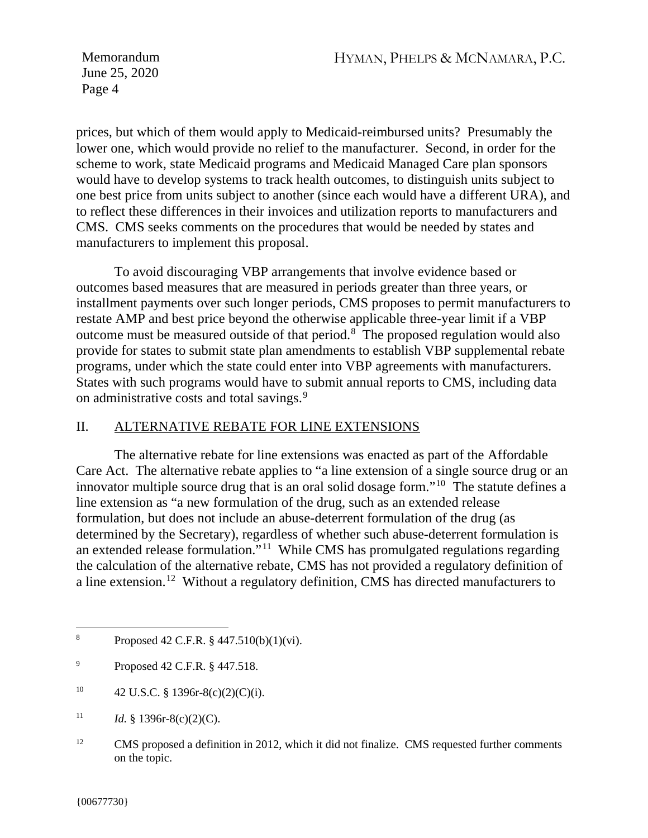prices, but which of them would apply to Medicaid-reimbursed units? Presumably the lower one, which would provide no relief to the manufacturer. Second, in order for the scheme to work, state Medicaid programs and Medicaid Managed Care plan sponsors would have to develop systems to track health outcomes, to distinguish units subject to one best price from units subject to another (since each would have a different URA), and to reflect these differences in their invoices and utilization reports to manufacturers and CMS. CMS seeks comments on the procedures that would be needed by states and manufacturers to implement this proposal.

To avoid discouraging VBP arrangements that involve evidence based or outcomes based measures that are measured in periods greater than three years, or installment payments over such longer periods, CMS proposes to permit manufacturers to restate AMP and best price beyond the otherwise applicable three-year limit if a VBP outcome must be measured outside of that period.<sup>[8](#page-3-0)</sup> The proposed regulation would also provide for states to submit state plan amendments to establish VBP supplemental rebate programs, under which the state could enter into VBP agreements with manufacturers. States with such programs would have to submit annual reports to CMS, including data on administrative costs and total savings.<sup>[9](#page-3-1)</sup>

## II. ALTERNATIVE REBATE FOR LINE EXTENSIONS

The alternative rebate for line extensions was enacted as part of the Affordable Care Act. The alternative rebate applies to "a [line extension](https://www.law.cornell.edu/definitions/uscode.php?width=840&height=800&iframe=true&def_id=42-USC-1903587565-930521189&term_occur=999&term_src=) of a [single source drug or an](https://www.law.cornell.edu/definitions/uscode.php?width=840&height=800&iframe=true&def_id=42-USC-1274935208-930521190&term_occur=999&term_src=)  [innovator multiple source drug](https://www.law.cornell.edu/definitions/uscode.php?width=840&height=800&iframe=true&def_id=42-USC-1274935208-930521190&term_occur=999&term_src=) that is an oral solid dosage form."[10](#page-3-2)The statute defines a line extension as "a new formulation of the drug, such as an extended release formulation, but does not include an abuse-deterrent formulation of the drug (as determined by the Secretary), regardless of whether such abuse-deterrent formulation is an extended release formulation."[11](#page-3-3) While CMS has promulgated regulations regarding the calculation of the alternative rebate, CMS has not provided a regulatory definition of a line extension.[12](#page-3-4) Without a regulatory definition, CMS has directed manufacturers to

- <span id="page-3-2"></span><sup>10</sup> 42 U.S.C. § 1396r-8(c)(2)(C)(i).
- <span id="page-3-3"></span><sup>11</sup> *Id.* § 1396r-8(c)(2)(C).
- <span id="page-3-4"></span><sup>12</sup> CMS proposed a definition in 2012, which it did not finalize. CMS requested further comments on the topic.

<span id="page-3-0"></span><sup>&</sup>lt;sup>8</sup> Proposed 42 C.F.R.  $\frac{6}{9}$  447.510(b)(1)(vi).

<span id="page-3-1"></span><sup>9</sup> Proposed 42 C.F.R. § 447.518.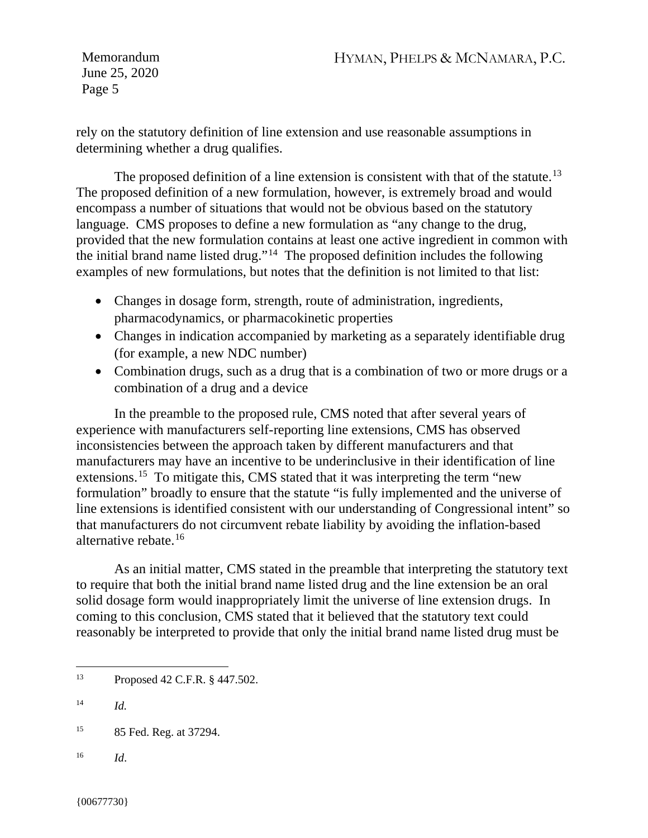rely on the statutory definition of line extension and use reasonable assumptions in determining whether a drug qualifies.

The proposed definition of a line extension is consistent with that of the statute.<sup>13</sup> The proposed definition of a new formulation, however, is extremely broad and would encompass a number of situations that would not be obvious based on the statutory language. CMS proposes to define a new formulation as "any change to the drug, provided that the new formulation contains at least one active ingredient in common with the initial brand name listed drug."<sup>[14](#page-4-1)</sup> The proposed definition includes the following examples of new formulations, but notes that the definition is not limited to that list:

- Changes in dosage form, strength, route of administration, ingredients, pharmacodynamics, or pharmacokinetic properties
- Changes in indication accompanied by marketing as a separately identifiable drug (for example, a new NDC number)
- Combination drugs, such as a drug that is a combination of two or more drugs or a combination of a drug and a device

In the preamble to the proposed rule, CMS noted that after several years of experience with manufacturers self-reporting line extensions, CMS has observed inconsistencies between the approach taken by different manufacturers and that manufacturers may have an incentive to be underinclusive in their identification of line extensions.[15](#page-4-2) To mitigate this, CMS stated that it was interpreting the term "new formulation" broadly to ensure that the statute "is fully implemented and the universe of line extensions is identified consistent with our understanding of Congressional intent" so that manufacturers do not circumvent rebate liability by avoiding the inflation-based alternative rebate.[16](#page-4-3)

As an initial matter, CMS stated in the preamble that interpreting the statutory text to require that both the initial brand name listed drug and the line extension be an oral solid dosage form would inappropriately limit the universe of line extension drugs. In coming to this conclusion, CMS stated that it believed that the statutory text could reasonably be interpreted to provide that only the initial brand name listed drug must be

<span id="page-4-3"></span><sup>16</sup> *Id*.

<span id="page-4-0"></span><sup>13</sup> Proposed 42 C.F.R. § 447.502.

<span id="page-4-1"></span> $14$  *Id.* 

<span id="page-4-2"></span><sup>15</sup> 85 Fed. Reg. at 37294.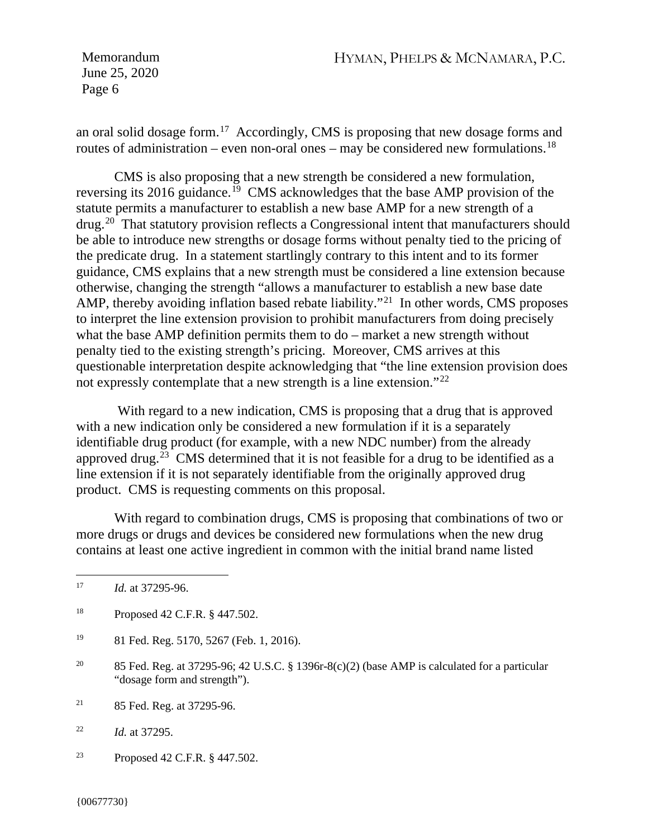an oral solid dosage form.[17](#page-5-0) Accordingly, CMS is proposing that new dosage forms and routes of administration – even non-oral ones – may be considered new formulations.<sup>[18](#page-5-1)</sup>

CMS is also proposing that a new strength be considered a new formulation, reversing its 2016 guidance.[19](#page-5-2) CMS acknowledges that the base AMP provision of the statute permits a manufacturer to establish a new base AMP for a new strength of a drug.[20](#page-5-3) That statutory provision reflects a Congressional intent that manufacturers should be able to introduce new strengths or dosage forms without penalty tied to the pricing of the predicate drug. In a statement startlingly contrary to this intent and to its former guidance, CMS explains that a new strength must be considered a line extension because otherwise, changing the strength "allows a manufacturer to establish a new base date AMP, thereby avoiding inflation based rebate liability."<sup>[21](#page-5-4)</sup> In other words, CMS proposes to interpret the line extension provision to prohibit manufacturers from doing precisely what the base AMP definition permits them to do – market a new strength without penalty tied to the existing strength's pricing. Moreover, CMS arrives at this questionable interpretation despite acknowledging that "the line extension provision does not expressly contemplate that a new strength is a line extension."[22](#page-5-5)

With regard to a new indication, CMS is proposing that a drug that is approved with a new indication only be considered a new formulation if it is a separately identifiable drug product (for example, with a new NDC number) from the already approved drug.<sup>23</sup> CMS determined that it is not feasible for a drug to be identified as a line extension if it is not separately identifiable from the originally approved drug product. CMS is requesting comments on this proposal.

With regard to combination drugs, CMS is proposing that combinations of two or more drugs or drugs and devices be considered new formulations when the new drug contains at least one active ingredient in common with the initial brand name listed

- <span id="page-5-2"></span><sup>19</sup> 81 Fed. Reg. 5170, 5267 (Feb. 1, 2016).
- <span id="page-5-3"></span><sup>20</sup> 85 Fed. Reg. at 37295-96; 42 U.S.C. § 1396r-8(c)(2) (base AMP is calculated for a particular "dosage form and strength").
- <span id="page-5-4"></span><sup>21</sup> 85 Fed. Reg. at 37295-96.

<span id="page-5-5"></span><sup>22</sup> *Id.* at 37295.

<span id="page-5-6"></span><sup>23</sup> Proposed 42 C.F.R. § 447.502.

<span id="page-5-0"></span><sup>17</sup> *Id.* at 37295-96.

<span id="page-5-1"></span><sup>18</sup> Proposed 42 C.F.R. § 447.502.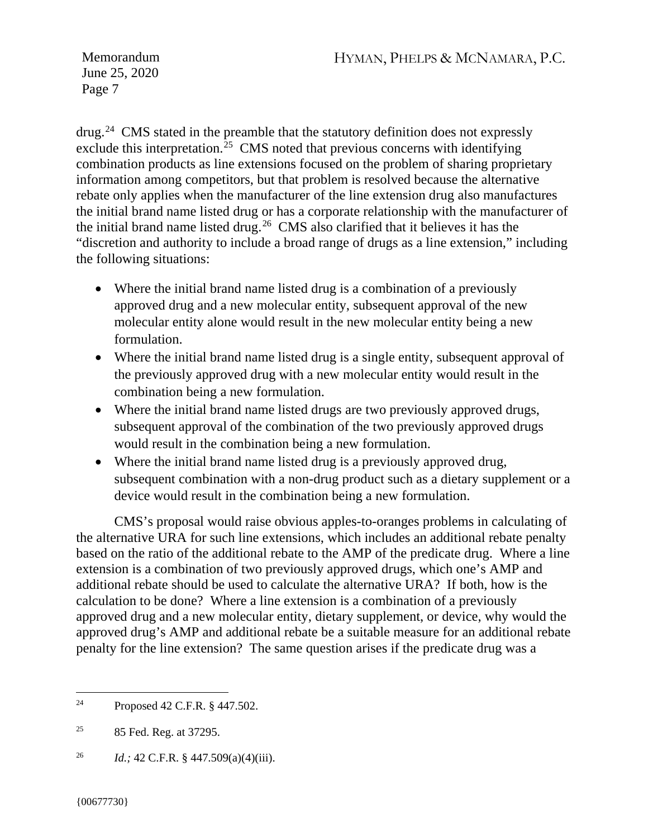drug.[24](#page-6-0) CMS stated in the preamble that the statutory definition does not expressly exclude this interpretation.<sup>[25](#page-6-1)</sup> CMS noted that previous concerns with identifying combination products as line extensions focused on the problem of sharing proprietary information among competitors, but that problem is resolved because the alternative rebate only applies when the manufacturer of the line extension drug also manufactures the initial brand name listed drug or has a corporate relationship with the manufacturer of the initial brand name listed drug.[26](#page-6-2) CMS also clarified that it believes it has the "discretion and authority to include a broad range of drugs as a line extension," including the following situations:

- Where the initial brand name listed drug is a combination of a previously approved drug and a new molecular entity, subsequent approval of the new molecular entity alone would result in the new molecular entity being a new formulation.
- Where the initial brand name listed drug is a single entity, subsequent approval of the previously approved drug with a new molecular entity would result in the combination being a new formulation.
- Where the initial brand name listed drugs are two previously approved drugs, subsequent approval of the combination of the two previously approved drugs would result in the combination being a new formulation.
- Where the initial brand name listed drug is a previously approved drug, subsequent combination with a non-drug product such as a dietary supplement or a device would result in the combination being a new formulation.

CMS's proposal would raise obvious apples-to-oranges problems in calculating of the alternative URA for such line extensions, which includes an additional rebate penalty based on the ratio of the additional rebate to the AMP of the predicate drug. Where a line extension is a combination of two previously approved drugs, which one's AMP and additional rebate should be used to calculate the alternative URA? If both, how is the calculation to be done? Where a line extension is a combination of a previously approved drug and a new molecular entity, dietary supplement, or device, why would the approved drug's AMP and additional rebate be a suitable measure for an additional rebate penalty for the line extension? The same question arises if the predicate drug was a

<span id="page-6-0"></span><sup>24</sup> Proposed 42 C.F.R. § 447.502.

<span id="page-6-1"></span><sup>25</sup> 85 Fed. Reg. at 37295.

<span id="page-6-2"></span><sup>26</sup> *Id.;* 42 C.F.R. § 447.509(a)(4)(iii).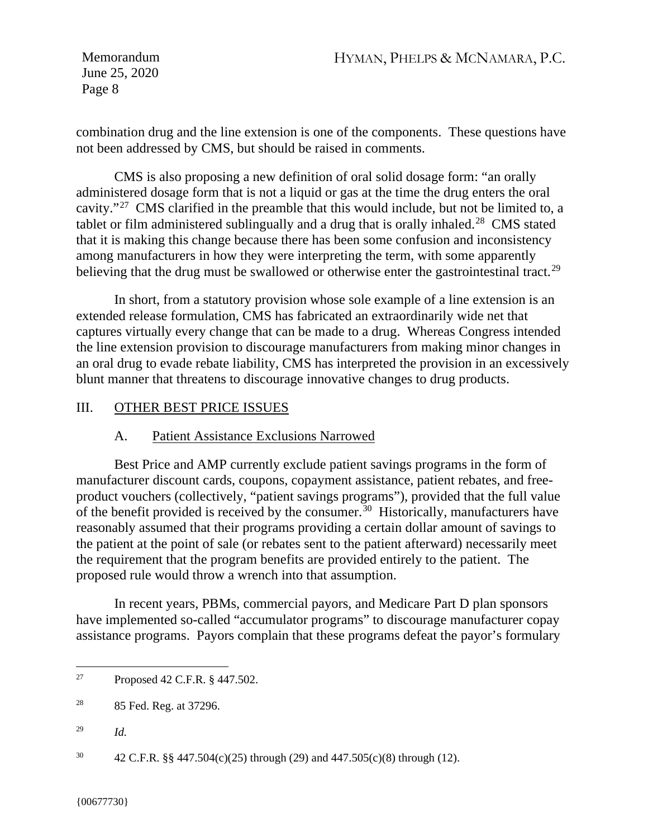combination drug and the line extension is one of the components. These questions have not been addressed by CMS, but should be raised in comments.

CMS is also proposing a new definition of oral solid dosage form: "an orally administered dosage form that is not a liquid or gas at the time the drug enters the oral cavity."[27](#page-7-0) CMS clarified in the preamble that this would include, but not be limited to, a tablet or film administered sublingually and a drug that is orally inhaled.<sup>[28](#page-7-1)</sup> CMS stated that it is making this change because there has been some confusion and inconsistency among manufacturers in how they were interpreting the term, with some apparently believing that the drug must be swallowed or otherwise enter the gastrointestinal tract.<sup>29</sup>

In short, from a statutory provision whose sole example of a line extension is an extended release formulation, CMS has fabricated an extraordinarily wide net that captures virtually every change that can be made to a drug. Whereas Congress intended the line extension provision to discourage manufacturers from making minor changes in an oral drug to evade rebate liability, CMS has interpreted the provision in an excessively blunt manner that threatens to discourage innovative changes to drug products.

## III. OTHER BEST PRICE ISSUES

## A. Patient Assistance Exclusions Narrowed

Best Price and AMP currently exclude patient savings programs in the form of manufacturer discount cards, coupons, copayment assistance, patient rebates, and freeproduct vouchers (collectively, "patient savings programs"), provided that the full value of the benefit provided is received by the consumer.<sup>30</sup> Historically, manufacturers have reasonably assumed that their programs providing a certain dollar amount of savings to the patient at the point of sale (or rebates sent to the patient afterward) necessarily meet the requirement that the program benefits are provided entirely to the patient. The proposed rule would throw a wrench into that assumption.

In recent years, PBMs, commercial payors, and Medicare Part D plan sponsors have implemented so-called "accumulator programs" to discourage manufacturer copay assistance programs. Payors complain that these programs defeat the payor's formulary

<span id="page-7-2"></span><sup>29</sup> *Id.*

<span id="page-7-0"></span><sup>27</sup> Proposed 42 C.F.R. § 447.502.

<span id="page-7-1"></span><sup>28</sup> 85 Fed. Reg. at 37296.

<span id="page-7-3"></span><sup>&</sup>lt;sup>30</sup> 42 C.F.R. §§ 447.504(c)(25) through (29) and 447.505(c)(8) through (12).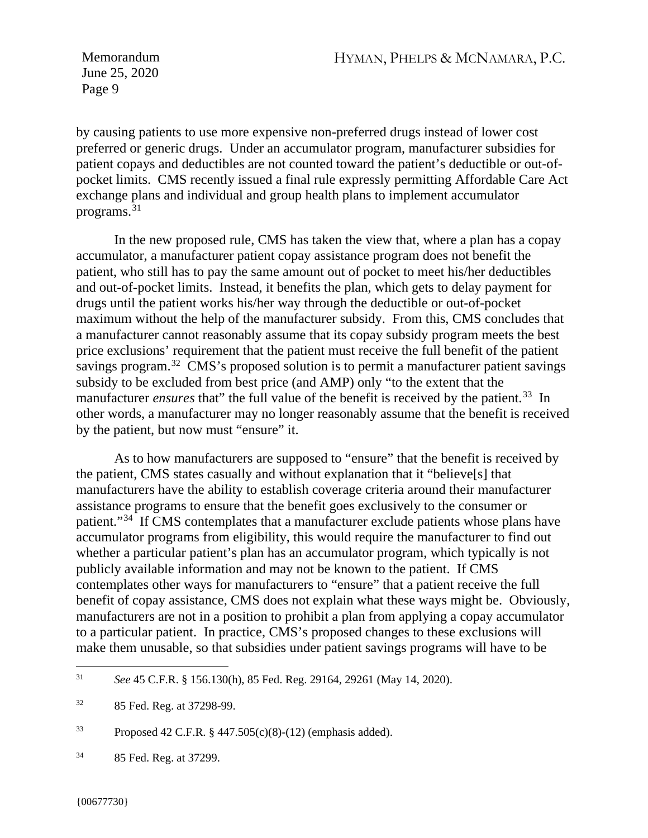by causing patients to use more expensive non-preferred drugs instead of lower cost preferred or generic drugs. Under an accumulator program, manufacturer subsidies for patient copays and deductibles are not counted toward the patient's deductible or out-ofpocket limits. CMS recently issued a final rule expressly permitting Affordable Care Act exchange plans and individual and group health plans to implement accumulator programs.[31](#page-8-0) 

In the new proposed rule, CMS has taken the view that, where a plan has a copay accumulator, a manufacturer patient copay assistance program does not benefit the patient, who still has to pay the same amount out of pocket to meet his/her deductibles and out-of-pocket limits. Instead, it benefits the plan, which gets to delay payment for drugs until the patient works his/her way through the deductible or out-of-pocket maximum without the help of the manufacturer subsidy. From this, CMS concludes that a manufacturer cannot reasonably assume that its copay subsidy program meets the best price exclusions' requirement that the patient must receive the full benefit of the patient savings program.<sup>32</sup> CMS's proposed solution is to permit a manufacturer patient savings subsidy to be excluded from best price (and AMP) only "to the extent that the manufacturer *ensures* that" the full value of the benefit is received by the patient.<sup>33</sup> In other words, a manufacturer may no longer reasonably assume that the benefit is received by the patient, but now must "ensure" it.

As to how manufacturers are supposed to "ensure" that the benefit is received by the patient, CMS states casually and without explanation that it "believe[s] that manufacturers have the ability to establish coverage criteria around their manufacturer assistance programs to ensure that the benefit goes exclusively to the consumer or patient."[34](#page-8-3) If CMS contemplates that a manufacturer exclude patients whose plans have accumulator programs from eligibility, this would require the manufacturer to find out whether a particular patient's plan has an accumulator program, which typically is not publicly available information and may not be known to the patient. If CMS contemplates other ways for manufacturers to "ensure" that a patient receive the full benefit of copay assistance, CMS does not explain what these ways might be. Obviously, manufacturers are not in a position to prohibit a plan from applying a copay accumulator to a particular patient. In practice, CMS's proposed changes to these exclusions will make them unusable, so that subsidies under patient savings programs will have to be

<span id="page-8-0"></span><sup>31</sup> *See* 45 C.F.R. § 156.130(h), 85 Fed. Reg. 29164, 29261 (May 14, 2020).

<span id="page-8-1"></span><sup>32</sup> 85 Fed. Reg. at 37298-99.

<span id="page-8-2"></span><sup>33</sup> Proposed 42 C.F.R. § 447.505(c)(8)-(12) (emphasis added).

<span id="page-8-3"></span><sup>34</sup> 85 Fed. Reg. at 37299.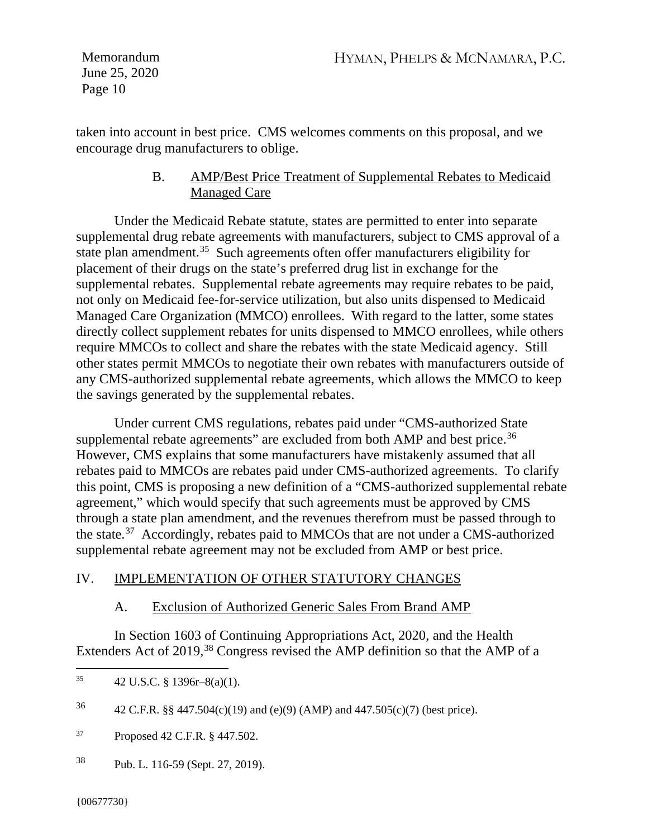taken into account in best price. CMS welcomes comments on this proposal, and we encourage drug manufacturers to oblige.

> B. AMP/Best Price Treatment of Supplemental Rebates to Medicaid Managed Care

Under the Medicaid Rebate statute, states are permitted to enter into separate supplemental drug rebate agreements with manufacturers, subject to CMS approval of a state plan amendment.<sup>35</sup> Such agreements often offer manufacturers eligibility for placement of their drugs on the state's preferred drug list in exchange for the supplemental rebates. Supplemental rebate agreements may require rebates to be paid, not only on Medicaid fee-for-service utilization, but also units dispensed to Medicaid Managed Care Organization (MMCO) enrollees. With regard to the latter, some states directly collect supplement rebates for units dispensed to MMCO enrollees, while others require MMCOs to collect and share the rebates with the state Medicaid agency. Still other states permit MMCOs to negotiate their own rebates with manufacturers outside of any CMS-authorized supplemental rebate agreements, which allows the MMCO to keep the savings generated by the supplemental rebates.

Under current CMS regulations, rebates paid under "CMS-authorized State supplemental rebate agreements" are excluded from both AMP and best price.<sup>[36](#page-9-1)</sup> However, CMS explains that some manufacturers have mistakenly assumed that all rebates paid to MMCOs are rebates paid under CMS-authorized agreements. To clarify this point, CMS is proposing a new definition of a "CMS-authorized supplemental rebate agreement," which would specify that such agreements must be approved by CMS through a state plan amendment, and the revenues therefrom must be passed through to the state.[37](#page-9-2) Accordingly, rebates paid to MMCOs that are not under a CMS-authorized supplemental rebate agreement may not be excluded from AMP or best price.

## IV. IMPLEMENTATION OF OTHER STATUTORY CHANGES

## A. Exclusion of Authorized Generic Sales From Brand AMP

In Section 1603 of Continuing Appropriations Act, 2020, and the Health Extenders Act of 2019,<sup>[38](#page-9-3)</sup> Congress revised the AMP definition so that the AMP of a

<span id="page-9-3"></span><sup>38</sup> Pub. L. 116-59 (Sept. 27, 2019).

<span id="page-9-0"></span><sup>&</sup>lt;sup>35</sup> 42 U.S.C. § 1396r–8(a)(1).

<span id="page-9-1"></span><sup>&</sup>lt;sup>36</sup> 42 C.F.R. §§ 447.504(c)(19) and (e)(9) (AMP) and 447.505(c)(7) (best price).

<span id="page-9-2"></span><sup>37</sup> Proposed 42 C.F.R. § 447.502.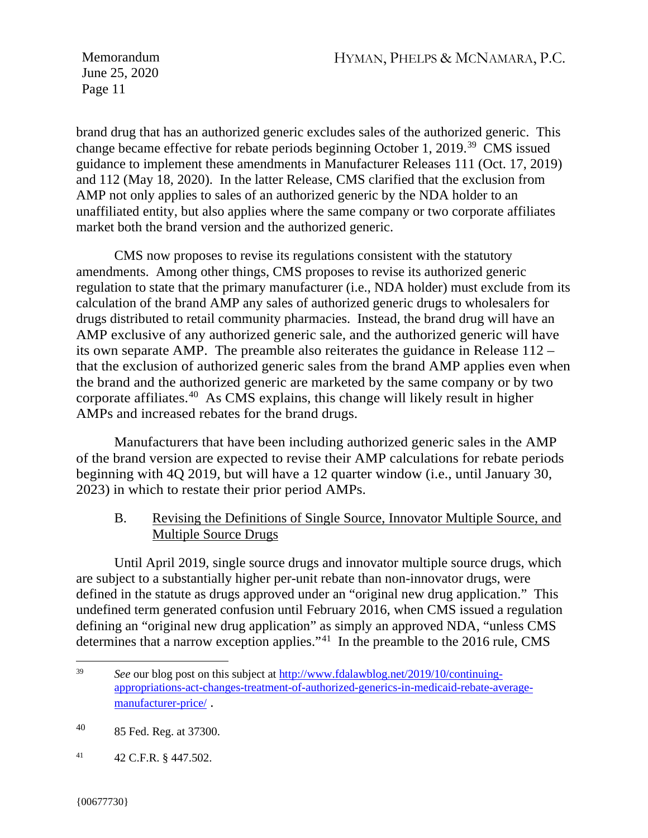brand drug that has an authorized generic excludes sales of the authorized generic. This change became effective for rebate periods beginning October 1, 2019.[39](#page-10-0) CMS issued guidance to implement these amendments in Manufacturer Releases 111 (Oct. 17, 2019) and 112 (May 18, 2020). In the latter Release, CMS clarified that the exclusion from AMP not only applies to sales of an authorized generic by the NDA holder to an unaffiliated entity, but also applies where the same company or two corporate affiliates market both the brand version and the authorized generic.

CMS now proposes to revise its regulations consistent with the statutory amendments. Among other things, CMS proposes to revise its authorized generic regulation to state that the primary manufacturer (i.e., NDA holder) must exclude from its calculation of the brand AMP any sales of authorized generic drugs to wholesalers for drugs distributed to retail community pharmacies. Instead, the brand drug will have an AMP exclusive of any authorized generic sale, and the authorized generic will have its own separate AMP. The preamble also reiterates the guidance in Release 112 – that the exclusion of authorized generic sales from the brand AMP applies even when the brand and the authorized generic are marketed by the same company or by two corporate affiliates.[40](#page-10-1) As CMS explains, this change will likely result in higher AMPs and increased rebates for the brand drugs.

Manufacturers that have been including authorized generic sales in the AMP of the brand version are expected to revise their AMP calculations for rebate periods beginning with 4Q 2019, but will have a 12 quarter window (i.e., until January 30, 2023) in which to restate their prior period AMPs.

B. Revising the Definitions of Single Source, Innovator Multiple Source, and Multiple Source Drugs

Until April 2019, single source drugs and innovator multiple source drugs, which are subject to a substantially higher per-unit rebate than non-innovator drugs, were defined in the statute as drugs approved under an "original new drug application." This undefined term generated confusion until February 2016, when CMS issued a regulation defining an "original new drug application" as simply an approved NDA, "unless CMS determines that a narrow exception applies."<sup>41</sup> In the preamble to the 2016 rule, CMS

<span id="page-10-2"></span><sup>41</sup> 42 C.F.R. § 447.502.

<span id="page-10-0"></span><sup>39</sup> *See* our blog post on this subject at [http://www.fdalawblog.net/2019/10/continuing](http://www.fdalawblog.net/2019/10/continuing-appropriations-act-changes-treatment-of-authorized-generics-in-medicaid-rebate-average-manufacturer-price/)[appropriations-act-changes-treatment-of-authorized-generics-in-medicaid-rebate-average](http://www.fdalawblog.net/2019/10/continuing-appropriations-act-changes-treatment-of-authorized-generics-in-medicaid-rebate-average-manufacturer-price/)[manufacturer-price/](http://www.fdalawblog.net/2019/10/continuing-appropriations-act-changes-treatment-of-authorized-generics-in-medicaid-rebate-average-manufacturer-price/) .

<span id="page-10-1"></span><sup>40</sup> 85 Fed. Reg. at 37300.